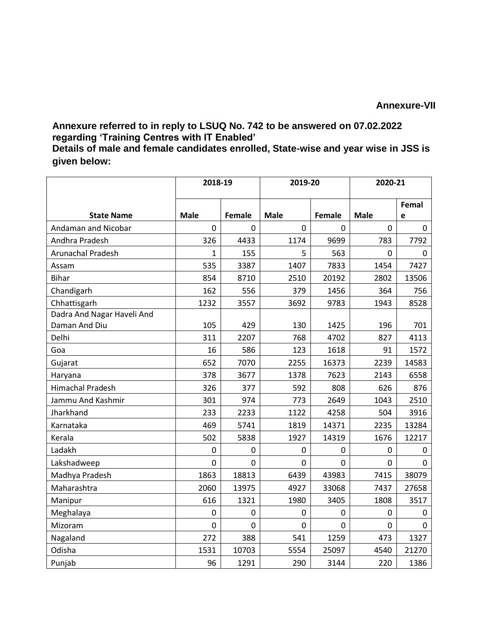## **Annexure-VII**

## **Annexure referred to in reply to LSUQ No. 742 to be answered on 07.02.2022 regarding 'Training Centres with IT Enabled'**

**Details of male and female candidates enrolled, State-wise and year wise in JSS is given below:**

|                                             | 2018-19      |        | 2019-20     |        | 2020-21     |              |
|---------------------------------------------|--------------|--------|-------------|--------|-------------|--------------|
|                                             |              |        |             |        |             | Femal        |
| <b>State Name</b>                           | <b>Male</b>  | Female | <b>Male</b> | Female | <b>Male</b> | e            |
| Andaman and Nicobar                         | $\mathbf 0$  | 0      | $\Omega$    | 0      | 0           | $\mathbf{0}$ |
| Andhra Pradesh                              | 326          | 4433   | 1174        | 9699   | 783         | 7792         |
| Arunachal Pradesh                           | $\mathbf{1}$ | 155    | 5           | 563    | $\mathbf 0$ | $\mathbf 0$  |
| Assam                                       | 535          | 3387   | 1407        | 7833   | 1454        | 7427         |
| <b>Bihar</b>                                | 854          | 8710   | 2510        | 20192  | 2802        | 13506        |
| Chandigarh                                  | 162          | 556    | 379         | 1456   | 364         | 756          |
| Chhattisgarh                                | 1232         | 3557   | 3692        | 9783   | 1943        | 8528         |
| Dadra And Nagar Haveli And<br>Daman And Diu | 105          | 429    | 130         | 1425   | 196         | 701          |
| Delhi                                       | 311          | 2207   | 768         | 4702   | 827         | 4113         |
| Goa                                         | 16           | 586    | 123         | 1618   | 91          | 1572         |
| Gujarat                                     | 652          | 7070   | 2255        | 16373  | 2239        | 14583        |
| Haryana                                     | 378          | 3677   | 1378        | 7623   | 2143        | 6558         |
| <b>Himachal Pradesh</b>                     | 326          | 377    | 592         | 808    | 626         | 876          |
| Jammu And Kashmir                           | 301          | 974    | 773         | 2649   | 1043        | 2510         |
| Jharkhand                                   | 233          | 2233   | 1122        | 4258   | 504         | 3916         |
| Karnataka                                   | 469          | 5741   | 1819        | 14371  | 2235        | 13284        |
| Kerala                                      | 502          | 5838   | 1927        | 14319  | 1676        | 12217        |
| Ladakh                                      | 0            | 0      | 0           | 0      | 0           | 0            |
| Lakshadweep                                 | $\mathbf 0$  | 0      | $\mathbf 0$ | 0      | $\mathbf 0$ | $\mathbf 0$  |
| Madhya Pradesh                              | 1863         | 18813  | 6439        | 43983  | 7415        | 38079        |
| Maharashtra                                 | 2060         | 13975  | 4927        | 33068  | 7437        | 27658        |
| Manipur                                     | 616          | 1321   | 1980        | 3405   | 1808        | 3517         |
| Meghalaya                                   | 0            | 0      | 0           | 0      | $\mathbf 0$ | $\mathbf 0$  |
| Mizoram                                     | 0            | 0      | 0           | 0      | 0           | 0            |
| Nagaland                                    | 272          | 388    | 541         | 1259   | 473         | 1327         |
| Odisha                                      | 1531         | 10703  | 5554        | 25097  | 4540        | 21270        |
| Punjab                                      | 96           | 1291   | 290         | 3144   | 220         | 1386         |